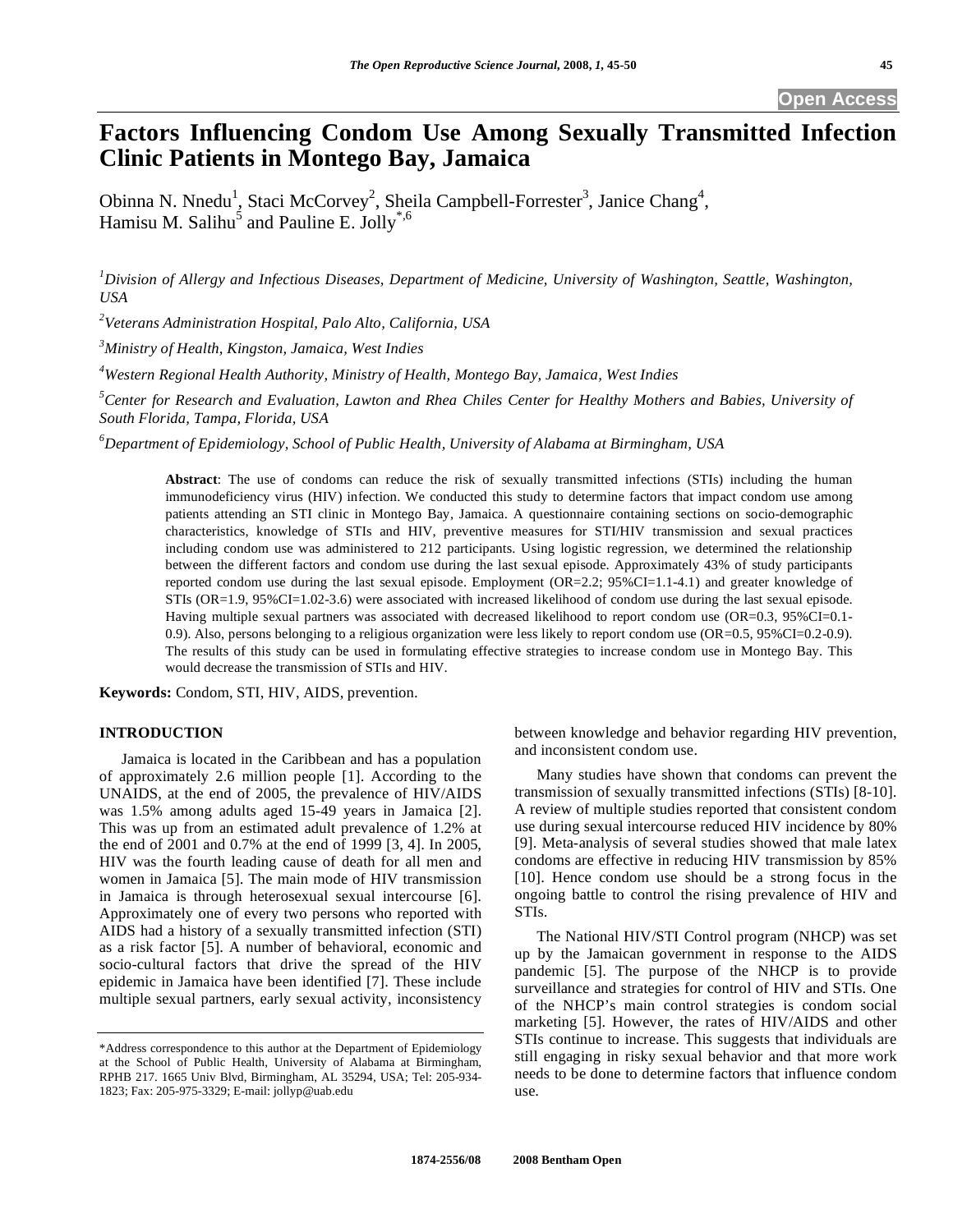# **Factors Influencing Condom Use Among Sexually Transmitted Infection Clinic Patients in Montego Bay, Jamaica**

Obinna N. Nnedu<sup>1</sup>, Staci McCorvey<sup>2</sup>, Sheila Campbell-Forrester<sup>3</sup>, Janice Chang<sup>4</sup>, Hamisu M. Salihu<sup>5</sup> and Pauline E. Jolly<sup>\*,6</sup>

*1 Division of Allergy and Infectious Diseases, Department of Medicine, University of Washington, Seattle, Washington, USA* 

*2 Veterans Administration Hospital, Palo Alto, California, USA* 

*3 Ministry of Health, Kingston, Jamaica, West Indies* 

*4 Western Regional Health Authority, Ministry of Health, Montego Bay, Jamaica, West Indies* 

<sup>5</sup> Center for Research and Evaluation, Lawton and Rhea Chiles Center for Healthy Mothers and Babies, University of *South Florida, Tampa, Florida, USA* 

*6 Department of Epidemiology, School of Public Health, University of Alabama at Birmingham, USA* 

**Abstract**: The use of condoms can reduce the risk of sexually transmitted infections (STIs) including the human immunodeficiency virus (HIV) infection. We conducted this study to determine factors that impact condom use among patients attending an STI clinic in Montego Bay, Jamaica. A questionnaire containing sections on socio-demographic characteristics, knowledge of STIs and HIV, preventive measures for STI/HIV transmission and sexual practices including condom use was administered to 212 participants. Using logistic regression, we determined the relationship between the different factors and condom use during the last sexual episode. Approximately 43% of study participants reported condom use during the last sexual episode. Employment (OR=2.2; 95%CI=1.1-4.1) and greater knowledge of STIs (OR=1.9, 95%CI=1.02-3.6) were associated with increased likelihood of condom use during the last sexual episode. Having multiple sexual partners was associated with decreased likelihood to report condom use (OR=0.3, 95%CI=0.1-0.9). Also, persons belonging to a religious organization were less likely to report condom use (OR=0.5, 95%CI=0.2-0.9). The results of this study can be used in formulating effective strategies to increase condom use in Montego Bay. This would decrease the transmission of STIs and HIV.

**Keywords:** Condom, STI, HIV, AIDS, prevention.

# **INTRODUCTION**

 Jamaica is located in the Caribbean and has a population of approximately 2.6 million people [1]. According to the UNAIDS, at the end of 2005, the prevalence of HIV/AIDS was 1.5% among adults aged 15-49 years in Jamaica [2]. This was up from an estimated adult prevalence of 1.2% at the end of 2001 and 0.7% at the end of 1999 [3, 4]. In 2005, HIV was the fourth leading cause of death for all men and women in Jamaica [5]. The main mode of HIV transmission in Jamaica is through heterosexual sexual intercourse [6]. Approximately one of every two persons who reported with AIDS had a history of a sexually transmitted infection (STI) as a risk factor [5]. A number of behavioral, economic and socio-cultural factors that drive the spread of the HIV epidemic in Jamaica have been identified [7]. These include multiple sexual partners, early sexual activity, inconsistency

between knowledge and behavior regarding HIV prevention, and inconsistent condom use.

 Many studies have shown that condoms can prevent the transmission of sexually transmitted infections (STIs) [8-10]. A review of multiple studies reported that consistent condom use during sexual intercourse reduced HIV incidence by 80% [9]. Meta-analysis of several studies showed that male latex condoms are effective in reducing HIV transmission by 85% [10]. Hence condom use should be a strong focus in the ongoing battle to control the rising prevalence of HIV and STIs.

 The National HIV/STI Control program (NHCP) was set up by the Jamaican government in response to the AIDS pandemic [5]. The purpose of the NHCP is to provide surveillance and strategies for control of HIV and STIs. One of the NHCP's main control strategies is condom social marketing [5]. However, the rates of HIV/AIDS and other STIs continue to increase. This suggests that individuals are still engaging in risky sexual behavior and that more work needs to be done to determine factors that influence condom use.

<sup>\*</sup>Address correspondence to this author at the Department of Epidemiology at the School of Public Health, University of Alabama at Birmingham, RPHB 217. 1665 Univ Blvd, Birmingham, AL 35294, USA; Tel: 205-934- 1823; Fax: 205-975-3329; E-mail: jollyp@uab.edu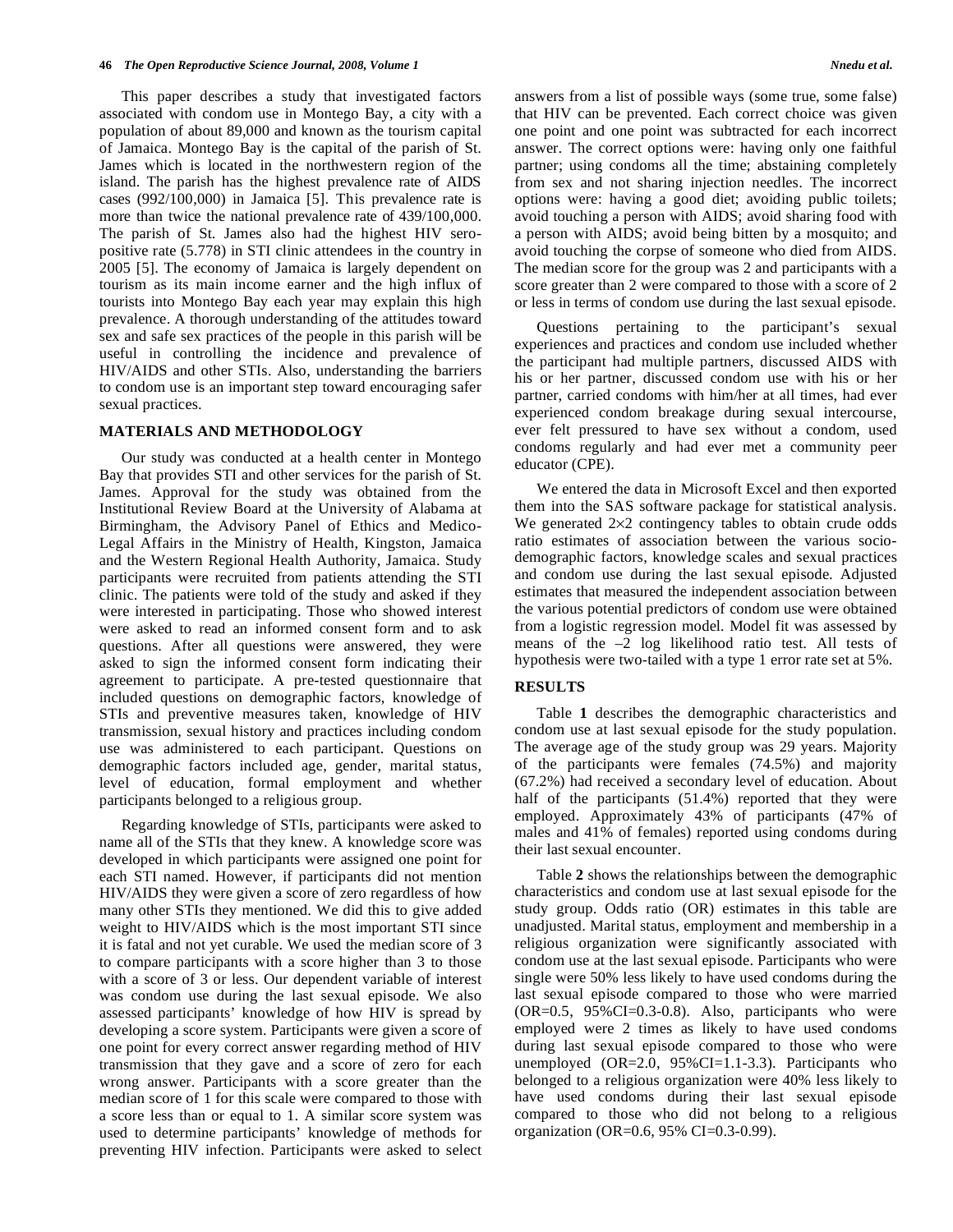This paper describes a study that investigated factors associated with condom use in Montego Bay, a city with a population of about 89,000 and known as the tourism capital of Jamaica. Montego Bay is the capital of the parish of St. James which is located in the northwestern region of the island. The parish has the highest prevalence rate of AIDS cases (992/100,000) in Jamaica [5]. This prevalence rate is more than twice the national prevalence rate of 439/100,000. The parish of St. James also had the highest HIV seropositive rate (5.778) in STI clinic attendees in the country in 2005 [5]. The economy of Jamaica is largely dependent on tourism as its main income earner and the high influx of tourists into Montego Bay each year may explain this high prevalence. A thorough understanding of the attitudes toward sex and safe sex practices of the people in this parish will be useful in controlling the incidence and prevalence of HIV/AIDS and other STIs. Also, understanding the barriers to condom use is an important step toward encouraging safer sexual practices.

# **MATERIALS AND METHODOLOGY**

 Our study was conducted at a health center in Montego Bay that provides STI and other services for the parish of St. James. Approval for the study was obtained from the Institutional Review Board at the University of Alabama at Birmingham, the Advisory Panel of Ethics and Medico-Legal Affairs in the Ministry of Health, Kingston, Jamaica and the Western Regional Health Authority, Jamaica. Study participants were recruited from patients attending the STI clinic. The patients were told of the study and asked if they were interested in participating. Those who showed interest were asked to read an informed consent form and to ask questions. After all questions were answered, they were asked to sign the informed consent form indicating their agreement to participate. A pre-tested questionnaire that included questions on demographic factors, knowledge of STIs and preventive measures taken, knowledge of HIV transmission, sexual history and practices including condom use was administered to each participant. Questions on demographic factors included age, gender, marital status, level of education, formal employment and whether participants belonged to a religious group.

 Regarding knowledge of STIs, participants were asked to name all of the STIs that they knew. A knowledge score was developed in which participants were assigned one point for each STI named. However, if participants did not mention HIV/AIDS they were given a score of zero regardless of how many other STIs they mentioned. We did this to give added weight to HIV/AIDS which is the most important STI since it is fatal and not yet curable. We used the median score of 3 to compare participants with a score higher than 3 to those with a score of 3 or less. Our dependent variable of interest was condom use during the last sexual episode. We also assessed participants' knowledge of how HIV is spread by developing a score system. Participants were given a score of one point for every correct answer regarding method of HIV transmission that they gave and a score of zero for each wrong answer. Participants with a score greater than the median score of 1 for this scale were compared to those with a score less than or equal to 1. A similar score system was used to determine participants' knowledge of methods for preventing HIV infection. Participants were asked to select

answers from a list of possible ways (some true, some false) that HIV can be prevented. Each correct choice was given one point and one point was subtracted for each incorrect answer. The correct options were: having only one faithful partner; using condoms all the time; abstaining completely from sex and not sharing injection needles. The incorrect options were: having a good diet; avoiding public toilets; avoid touching a person with AIDS; avoid sharing food with a person with AIDS; avoid being bitten by a mosquito; and avoid touching the corpse of someone who died from AIDS. The median score for the group was 2 and participants with a score greater than 2 were compared to those with a score of 2 or less in terms of condom use during the last sexual episode.

 Questions pertaining to the participant's sexual experiences and practices and condom use included whether the participant had multiple partners, discussed AIDS with his or her partner, discussed condom use with his or her partner, carried condoms with him/her at all times, had ever experienced condom breakage during sexual intercourse, ever felt pressured to have sex without a condom, used condoms regularly and had ever met a community peer educator (CPE).

 We entered the data in Microsoft Excel and then exported them into the SAS software package for statistical analysis. We generated  $2\times2$  contingency tables to obtain crude odds ratio estimates of association between the various sociodemographic factors, knowledge scales and sexual practices and condom use during the last sexual episode. Adjusted estimates that measured the independent association between the various potential predictors of condom use were obtained from a logistic regression model. Model fit was assessed by means of the –2 log likelihood ratio test. All tests of hypothesis were two-tailed with a type 1 error rate set at 5%.

## **RESULTS**

 Table **1** describes the demographic characteristics and condom use at last sexual episode for the study population. The average age of the study group was 29 years. Majority of the participants were females (74.5%) and majority (67.2%) had received a secondary level of education. About half of the participants (51.4%) reported that they were employed. Approximately 43% of participants (47% of males and 41% of females) reported using condoms during their last sexual encounter.

 Table **2** shows the relationships between the demographic characteristics and condom use at last sexual episode for the study group. Odds ratio (OR) estimates in this table are unadjusted. Marital status, employment and membership in a religious organization were significantly associated with condom use at the last sexual episode. Participants who were single were 50% less likely to have used condoms during the last sexual episode compared to those who were married (OR=0.5, 95%CI=0.3-0.8). Also, participants who were employed were 2 times as likely to have used condoms during last sexual episode compared to those who were unemployed  $(OR=2.0, 95\% CI=1.1-3.3)$ . Participants who belonged to a religious organization were 40% less likely to have used condoms during their last sexual episode compared to those who did not belong to a religious organization (OR=0.6, 95% CI=0.3-0.99).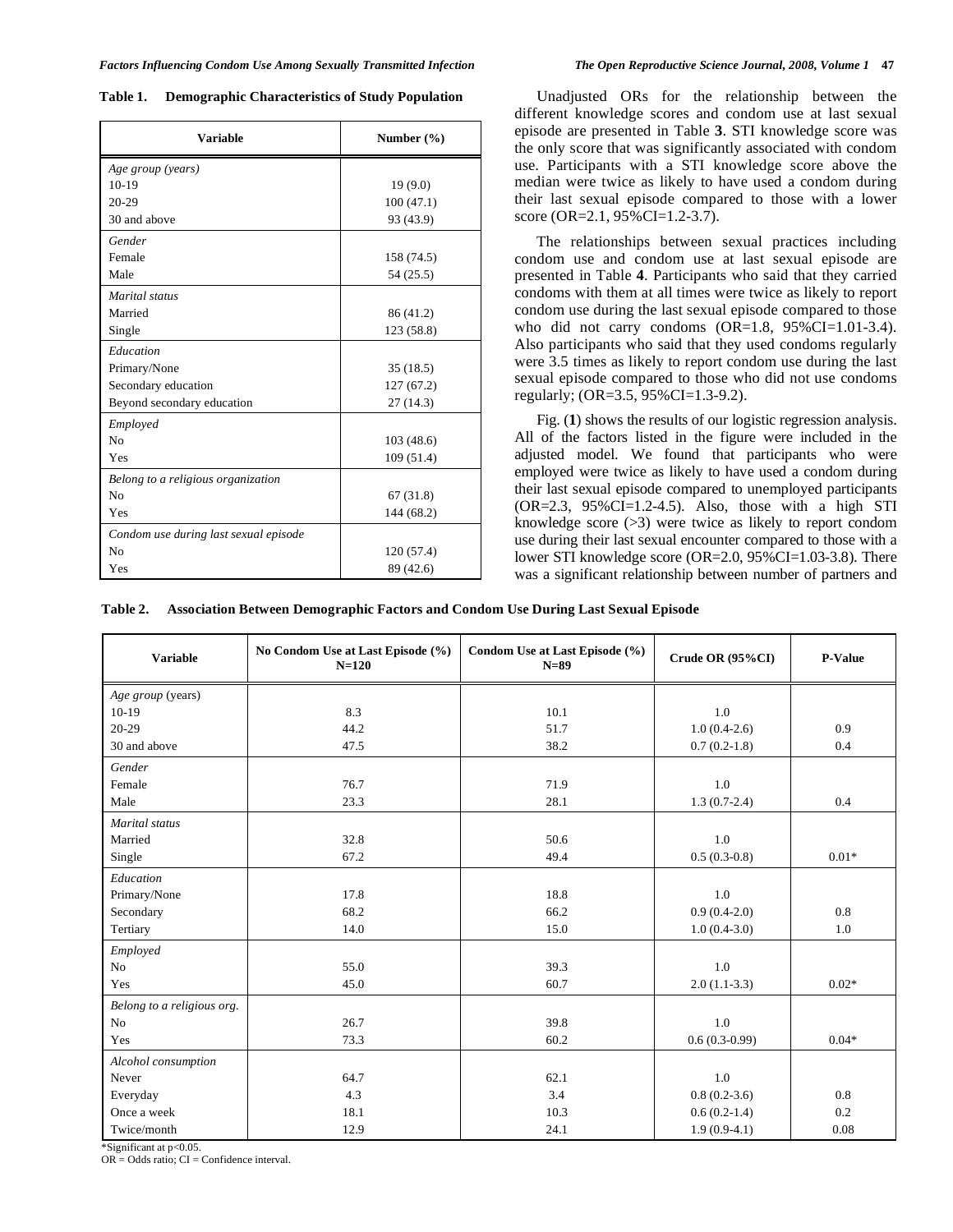|  |  |  |  | The Open Reproductive Science Journal, 2008, Volume 1 47 |  |  |
|--|--|--|--|----------------------------------------------------------|--|--|
|--|--|--|--|----------------------------------------------------------|--|--|

| Table 1. |  | <b>Demographic Characteristics of Study Population</b> |  |  |
|----------|--|--------------------------------------------------------|--|--|
|----------|--|--------------------------------------------------------|--|--|

| <b>Variable</b>                       | Number $(\% )$ |
|---------------------------------------|----------------|
| Age group (years)                     |                |
| $10-19$                               | 19(9.0)        |
| $20 - 29$                             | 100(47.1)      |
| 30 and above                          | 93 (43.9)      |
| Gender                                |                |
| Female                                | 158 (74.5)     |
| Male                                  | 54 (25.5)      |
| Marital status                        |                |
| Married                               | 86 (41.2)      |
| Single                                | 123 (58.8)     |
| Education                             |                |
| Primary/None                          | 35(18.5)       |
| Secondary education                   | 127(67.2)      |
| Beyond secondary education            | 27(14.3)       |
| Employed                              |                |
| N <sub>0</sub>                        | 103(48.6)      |
| Yes                                   | 109(51.4)      |
| Belong to a religious organization    |                |
| N <sub>0</sub>                        | 67(31.8)       |
| Yes                                   | 144 (68.2)     |
| Condom use during last sexual episode |                |
| N <sub>0</sub>                        | 120(57.4)      |
| Yes                                   | 89 (42.6)      |

 Unadjusted ORs for the relationship between the different knowledge scores and condom use at last sexual episode are presented in Table **3**. STI knowledge score was the only score that was significantly associated with condom use. Participants with a STI knowledge score above the median were twice as likely to have used a condom during their last sexual episode compared to those with a lower score (OR=2.1, 95%CI=1.2-3.7).

 The relationships between sexual practices including condom use and condom use at last sexual episode are presented in Table **4**. Participants who said that they carried condoms with them at all times were twice as likely to report condom use during the last sexual episode compared to those who did not carry condoms  $(OR=1.8, 95\%CI=1.01-3.4)$ . Also participants who said that they used condoms regularly were 3.5 times as likely to report condom use during the last sexual episode compared to those who did not use condoms regularly; (OR=3.5, 95%CI=1.3-9.2).

 Fig. (**1**) shows the results of our logistic regression analysis. All of the factors listed in the figure were included in the adjusted model. We found that participants who were employed were twice as likely to have used a condom during their last sexual episode compared to unemployed participants (OR=2.3, 95%CI=1.2-4.5). Also, those with a high STI knowledge score (>3) were twice as likely to report condom use during their last sexual encounter compared to those with a lower STI knowledge score (OR=2.0, 95%CI=1.03-3.8). There was a significant relationship between number of partners and

**Table 2. Association Between Demographic Factors and Condom Use During Last Sexual Episode**

| <b>Variable</b>            | No Condom Use at Last Episode (%)<br>$N = 120$ | Condom Use at Last Episode (%)<br>$N=89$ | Crude OR $(95\%CI)$ | P-Value |
|----------------------------|------------------------------------------------|------------------------------------------|---------------------|---------|
| Age group (years)          |                                                |                                          |                     |         |
| $10-19$                    | 8.3                                            | 10.1                                     | 1.0                 |         |
| $20 - 29$                  | 44.2                                           | 51.7                                     | $1.0(0.4-2.6)$      | 0.9     |
| 30 and above               | 47.5                                           | 38.2                                     | $0.7(0.2-1.8)$      | 0.4     |
| Gender                     |                                                |                                          |                     |         |
| Female                     | 76.7                                           | 71.9                                     | 1.0                 |         |
| Male                       | 23.3                                           | 28.1                                     | $1.3(0.7-2.4)$      | 0.4     |
| Marital status             |                                                |                                          |                     |         |
| Married                    | 32.8                                           | 50.6                                     | 1.0                 |         |
| Single                     | 67.2                                           | 49.4                                     | $0.5(0.3-0.8)$      | $0.01*$ |
| Education                  |                                                |                                          |                     |         |
| Primary/None               | 17.8                                           | 18.8                                     | 1.0                 |         |
| Secondary                  | 68.2                                           | 66.2                                     | $0.9(0.4-2.0)$      | 0.8     |
| Tertiary                   | 14.0                                           | 15.0                                     | $1.0(0.4-3.0)$      | 1.0     |
| Employed                   |                                                |                                          |                     |         |
| No                         | 55.0                                           | 39.3                                     | 1.0                 |         |
| Yes                        | 45.0                                           | 60.7                                     | $2.0(1.1-3.3)$      | $0.02*$ |
| Belong to a religious org. |                                                |                                          |                     |         |
| N <sub>0</sub>             | 26.7                                           | 39.8                                     | 1.0                 |         |
| Yes                        | 73.3                                           | 60.2                                     | $0.6(0.3-0.99)$     | $0.04*$ |
| Alcohol consumption        |                                                |                                          |                     |         |
| Never                      | 64.7                                           | 62.1                                     | 1.0                 |         |
| Everyday                   | 4.3                                            | 3.4                                      | $0.8(0.2-3.6)$      | 0.8     |
| Once a week                | 18.1                                           | 10.3                                     | $0.6(0.2-1.4)$      | 0.2     |
| Twice/month                | 12.9                                           | 24.1                                     | $1.9(0.9-4.1)$      | 0.08    |

Significant at p<0.05.

 $OR = Odds$  ratio:  $CI = Confidence$  interval.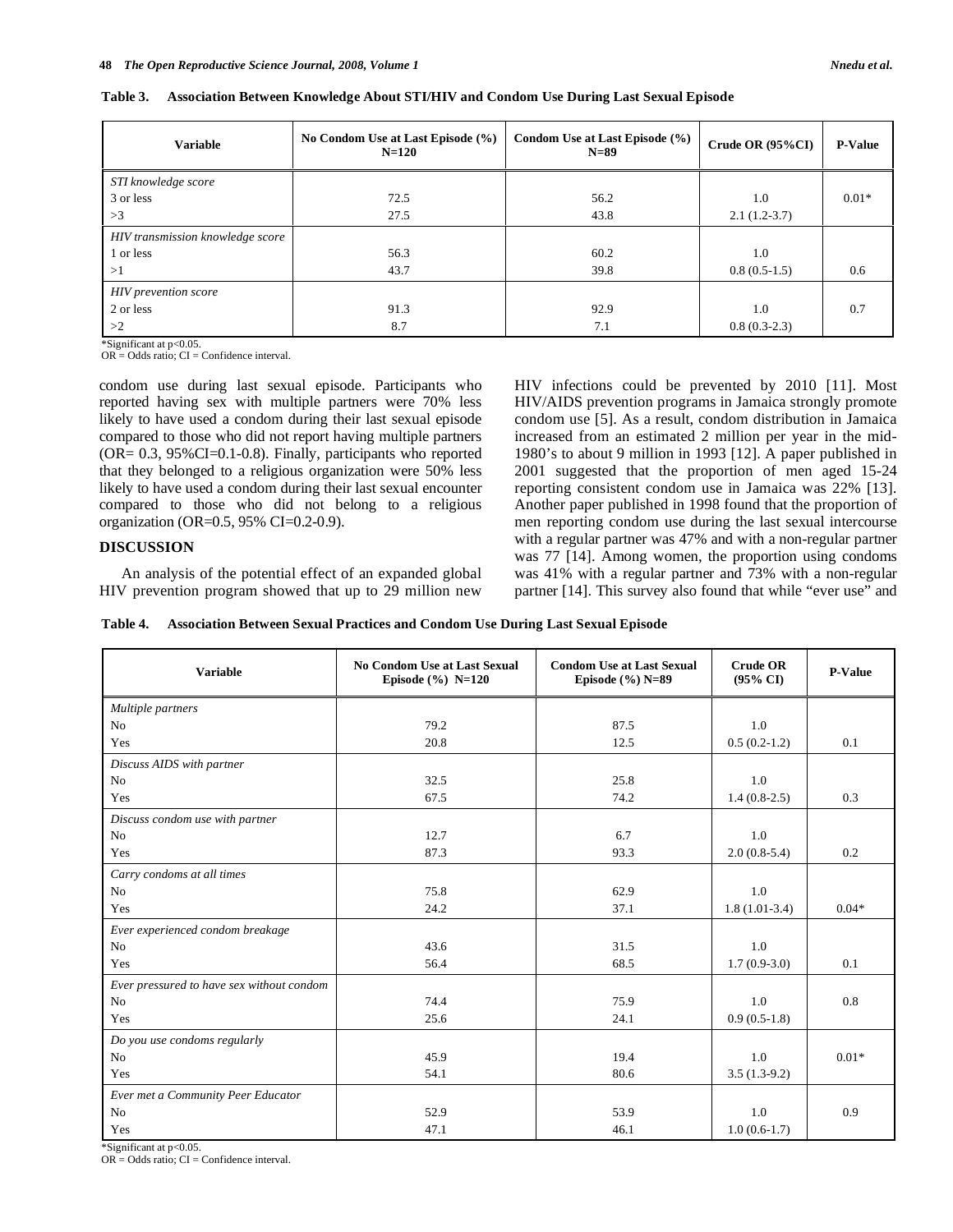| <b>Variable</b>                  | No Condom Use at Last Episode (%)<br>$N = 120$ | Condom Use at Last Episode (%)<br>$N=89$ | Crude OR $(95\%CI)$ | <b>P-Value</b> |
|----------------------------------|------------------------------------------------|------------------------------------------|---------------------|----------------|
| STI knowledge score              |                                                |                                          |                     |                |
| 3 or less                        | 72.5                                           | 56.2                                     | 1.0                 | $0.01*$        |
| >3                               | 27.5                                           | 43.8                                     | $2.1(1.2-3.7)$      |                |
| HIV transmission knowledge score |                                                |                                          |                     |                |
| 1 or less                        | 56.3                                           | 60.2                                     | 1.0                 |                |
| >1                               | 43.7                                           | 39.8                                     | $0.8(0.5-1.5)$      | 0.6            |
| HIV prevention score             |                                                |                                          |                     |                |
| 2 or less                        | 91.3                                           | 92.9                                     | 1.0                 | 0.7            |
| >2                               | 8.7                                            | 7.1                                      | $0.8(0.3-2.3)$      |                |

**Table 3. Association Between Knowledge About STI/HIV and Condom Use During Last Sexual Episode** 

\*Significant at p<0.05.

 $OR = Odds$  ratio;  $CI = Confidence$  interval.

condom use during last sexual episode. Participants who reported having sex with multiple partners were 70% less likely to have used a condom during their last sexual episode compared to those who did not report having multiple partners (OR= 0.3, 95%CI=0.1-0.8). Finally, participants who reported that they belonged to a religious organization were 50% less likely to have used a condom during their last sexual encounter compared to those who did not belong to a religious organization (OR=0.5, 95% CI=0.2-0.9).

# **DISCUSSION**

 An analysis of the potential effect of an expanded global HIV prevention program showed that up to 29 million new HIV infections could be prevented by 2010 [11]. Most HIV/AIDS prevention programs in Jamaica strongly promote condom use [5]. As a result, condom distribution in Jamaica increased from an estimated 2 million per year in the mid-1980's to about 9 million in 1993 [12]. A paper published in 2001 suggested that the proportion of men aged 15-24 reporting consistent condom use in Jamaica was 22% [13]. Another paper published in 1998 found that the proportion of men reporting condom use during the last sexual intercourse with a regular partner was 47% and with a non-regular partner was 77 [14]. Among women, the proportion using condoms was 41% with a regular partner and 73% with a non-regular partner [14]. This survey also found that while "ever use" and

|  | Table 4. Association Between Sexual Practices and Condom Use During Last Sexual Episode |  |  |  |  |
|--|-----------------------------------------------------------------------------------------|--|--|--|--|
|--|-----------------------------------------------------------------------------------------|--|--|--|--|

| <b>Variable</b>                           | <b>No Condom Use at Last Sexual</b><br>Episode $(\%)$ N=120 | <b>Condom Use at Last Sexual</b><br>Episode $(\%)$ N=89 | <b>Crude OR</b><br>$(95\% \text{ CI})$ | <b>P-Value</b> |
|-------------------------------------------|-------------------------------------------------------------|---------------------------------------------------------|----------------------------------------|----------------|
| Multiple partners                         |                                                             |                                                         |                                        |                |
| N <sub>0</sub>                            | 79.2                                                        | 87.5                                                    | 1.0                                    |                |
| Yes                                       | 20.8                                                        | 12.5                                                    | $0.5(0.2-1.2)$                         | 0.1            |
| Discuss AIDS with partner                 |                                                             |                                                         |                                        |                |
| N <sub>0</sub>                            | 32.5                                                        | 25.8                                                    | 1.0                                    |                |
| Yes                                       | 67.5                                                        | 74.2                                                    | $1.4(0.8-2.5)$                         | 0.3            |
| Discuss condom use with partner           |                                                             |                                                         |                                        |                |
| No                                        | 12.7                                                        | 6.7                                                     | 1.0                                    |                |
| Yes                                       | 87.3                                                        | 93.3                                                    | $2.0(0.8-5.4)$                         | 0.2            |
| Carry condoms at all times                |                                                             |                                                         |                                        |                |
| N <sub>0</sub>                            | 75.8                                                        | 62.9                                                    | 1.0                                    |                |
| Yes                                       | 24.2                                                        | 37.1                                                    | $1.8(1.01-3.4)$                        | $0.04*$        |
| Ever experienced condom breakage          |                                                             |                                                         |                                        |                |
| N <sub>0</sub>                            | 43.6                                                        | 31.5                                                    | 1.0                                    |                |
| Yes                                       | 56.4                                                        | 68.5                                                    | $1.7(0.9-3.0)$                         | 0.1            |
| Ever pressured to have sex without condom |                                                             |                                                         |                                        |                |
| N <sub>0</sub>                            | 74.4                                                        | 75.9                                                    | 1.0                                    | 0.8            |
| Yes                                       | 25.6                                                        | 24.1                                                    | $0.9(0.5-1.8)$                         |                |
| Do you use condoms regularly              |                                                             |                                                         |                                        |                |
| No                                        | 45.9                                                        | 19.4                                                    | 1.0                                    | $0.01*$        |
| Yes                                       | 54.1                                                        | 80.6                                                    | $3.5(1.3-9.2)$                         |                |
| Ever met a Community Peer Educator        |                                                             |                                                         |                                        |                |
| N <sub>0</sub>                            | 52.9                                                        | 53.9                                                    | 1.0                                    | 0.9            |
| Yes                                       | 47.1                                                        | 46.1                                                    | $1.0(0.6-1.7)$                         |                |

Significant at p<0.05.

 $OR = Odds$  ratio:  $CI = Confidence$  interval.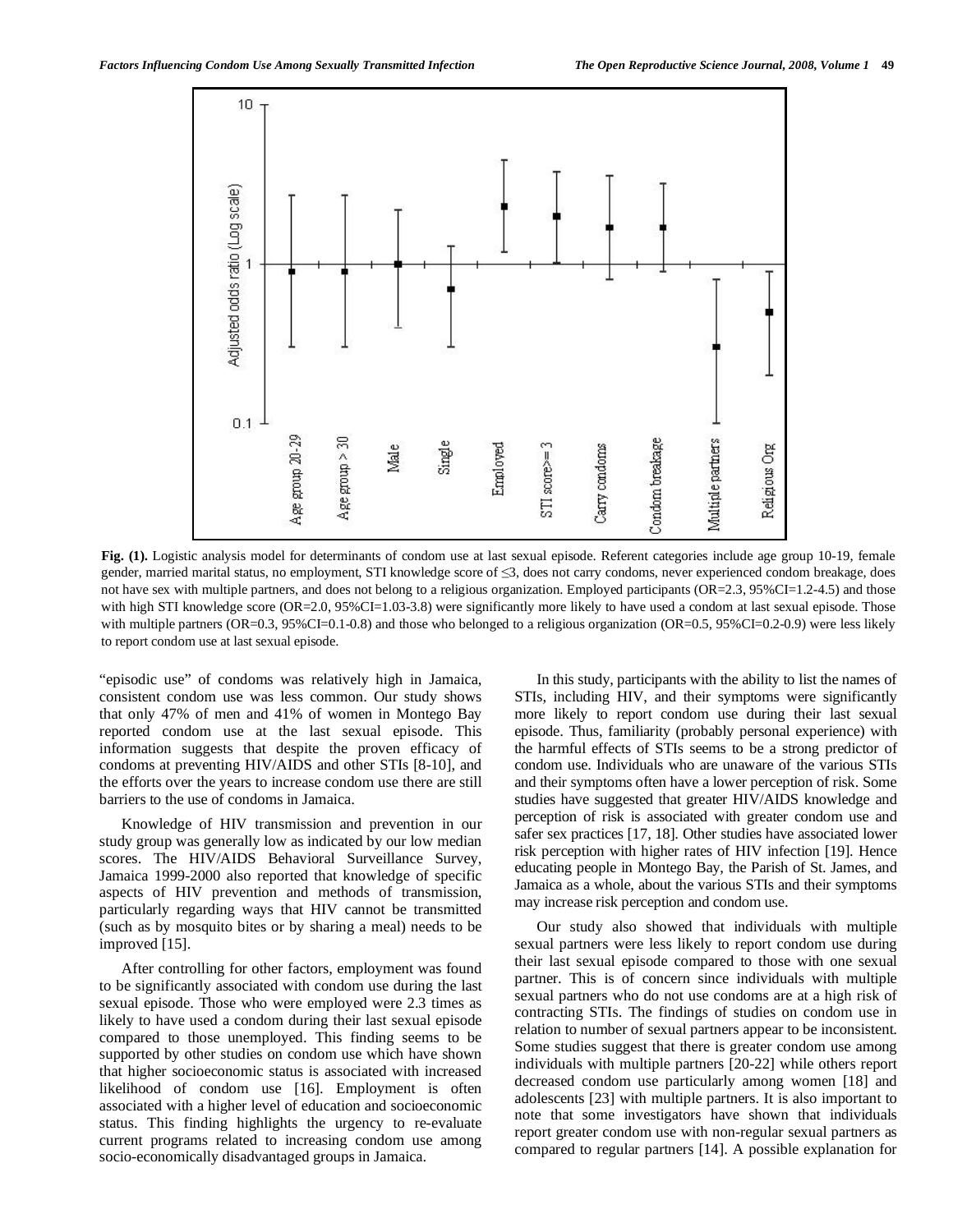

**Fig. (1).** Logistic analysis model for determinants of condom use at last sexual episode. Referent categories include age group 10-19, female gender, married marital status, no employment, STI knowledge score of  $\leq$ 3, does not carry condoms, never experienced condom breakage, does not have sex with multiple partners, and does not belong to a religious organization. Employed participants (OR=2.3, 95%CI=1.2-4.5) and those with high STI knowledge score (OR=2.0, 95%CI=1.03-3.8) were significantly more likely to have used a condom at last sexual episode. Those with multiple partners (OR=0.3, 95%CI=0.1-0.8) and those who belonged to a religious organization (OR=0.5, 95%CI=0.2-0.9) were less likely to report condom use at last sexual episode.

"episodic use" of condoms was relatively high in Jamaica, consistent condom use was less common. Our study shows that only 47% of men and 41% of women in Montego Bay reported condom use at the last sexual episode. This information suggests that despite the proven efficacy of condoms at preventing HIV/AIDS and other STIs [8-10], and the efforts over the years to increase condom use there are still barriers to the use of condoms in Jamaica.

 Knowledge of HIV transmission and prevention in our study group was generally low as indicated by our low median scores. The HIV/AIDS Behavioral Surveillance Survey, Jamaica 1999-2000 also reported that knowledge of specific aspects of HIV prevention and methods of transmission, particularly regarding ways that HIV cannot be transmitted (such as by mosquito bites or by sharing a meal) needs to be improved [15].

 After controlling for other factors, employment was found to be significantly associated with condom use during the last sexual episode. Those who were employed were 2.3 times as likely to have used a condom during their last sexual episode compared to those unemployed. This finding seems to be supported by other studies on condom use which have shown that higher socioeconomic status is associated with increased likelihood of condom use [16]. Employment is often associated with a higher level of education and socioeconomic status. This finding highlights the urgency to re-evaluate current programs related to increasing condom use among socio-economically disadvantaged groups in Jamaica.

 In this study, participants with the ability to list the names of STIs, including HIV, and their symptoms were significantly more likely to report condom use during their last sexual episode. Thus, familiarity (probably personal experience) with the harmful effects of STIs seems to be a strong predictor of condom use. Individuals who are unaware of the various STIs and their symptoms often have a lower perception of risk. Some studies have suggested that greater HIV/AIDS knowledge and perception of risk is associated with greater condom use and safer sex practices [17, 18]. Other studies have associated lower risk perception with higher rates of HIV infection [19]. Hence educating people in Montego Bay, the Parish of St. James, and Jamaica as a whole, about the various STIs and their symptoms may increase risk perception and condom use.

 Our study also showed that individuals with multiple sexual partners were less likely to report condom use during their last sexual episode compared to those with one sexual partner. This is of concern since individuals with multiple sexual partners who do not use condoms are at a high risk of contracting STIs. The findings of studies on condom use in relation to number of sexual partners appear to be inconsistent. Some studies suggest that there is greater condom use among individuals with multiple partners [20-22] while others report decreased condom use particularly among women [18] and adolescents [23] with multiple partners. It is also important to note that some investigators have shown that individuals report greater condom use with non-regular sexual partners as compared to regular partners [14]. A possible explanation for